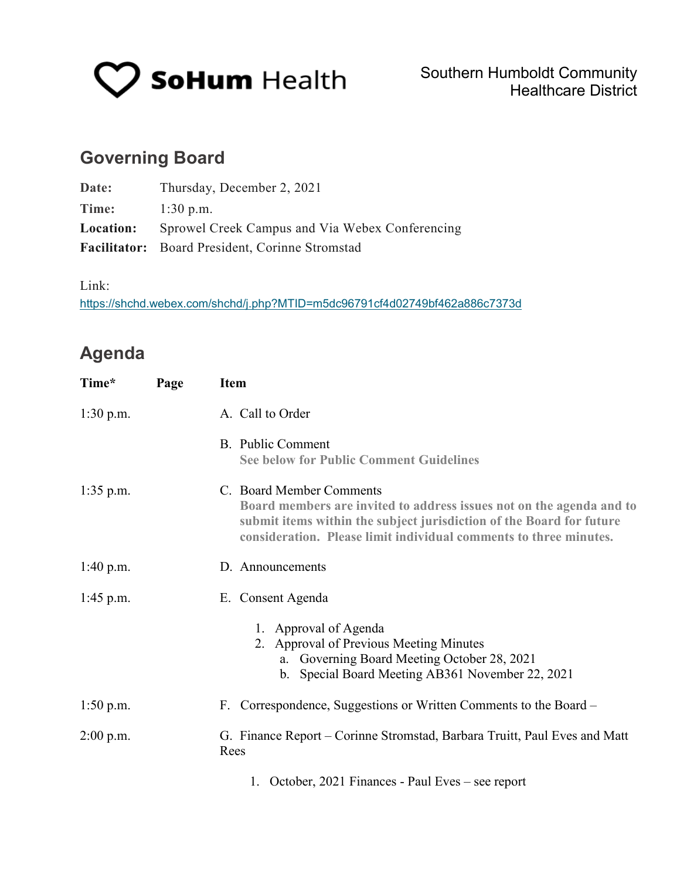

# **Governing Board**

| Date:            | Thursday, December 2, 2021                             |
|------------------|--------------------------------------------------------|
| Time:            | $1:30$ p.m.                                            |
| <b>Location:</b> | Sprowel Creek Campus and Via Webex Conferencing        |
|                  | <b>Facilitator:</b> Board President, Corinne Stromstad |

Link:

<https://shchd.webex.com/shchd/j.php?MTID=m5dc96791cf4d02749bf462a886c7373d>

## **Agenda**

| Time*       | Page | <b>Item</b>                                                                                                                                                                                                                                   |  |  |
|-------------|------|-----------------------------------------------------------------------------------------------------------------------------------------------------------------------------------------------------------------------------------------------|--|--|
| $1:30$ p.m. |      | A. Call to Order                                                                                                                                                                                                                              |  |  |
|             |      | <b>B.</b> Public Comment<br><b>See below for Public Comment Guidelines</b>                                                                                                                                                                    |  |  |
| $1:35$ p.m. |      | C. Board Member Comments<br>Board members are invited to address issues not on the agenda and to<br>submit items within the subject jurisdiction of the Board for future<br>consideration. Please limit individual comments to three minutes. |  |  |
| 1:40 p.m.   |      | D. Announcements                                                                                                                                                                                                                              |  |  |
| $1:45$ p.m. |      | E. Consent Agenda                                                                                                                                                                                                                             |  |  |
|             |      | 1. Approval of Agenda<br>2. Approval of Previous Meeting Minutes<br>a. Governing Board Meeting October 28, 2021<br>b. Special Board Meeting AB361 November 22, 2021                                                                           |  |  |
| $1:50$ p.m. |      | F. Correspondence, Suggestions or Written Comments to the Board –                                                                                                                                                                             |  |  |
| $2:00$ p.m. |      | G. Finance Report – Corinne Stromstad, Barbara Truitt, Paul Eves and Matt<br>Rees                                                                                                                                                             |  |  |
|             |      | 1. October, 2021 Finances - Paul Eves - see report                                                                                                                                                                                            |  |  |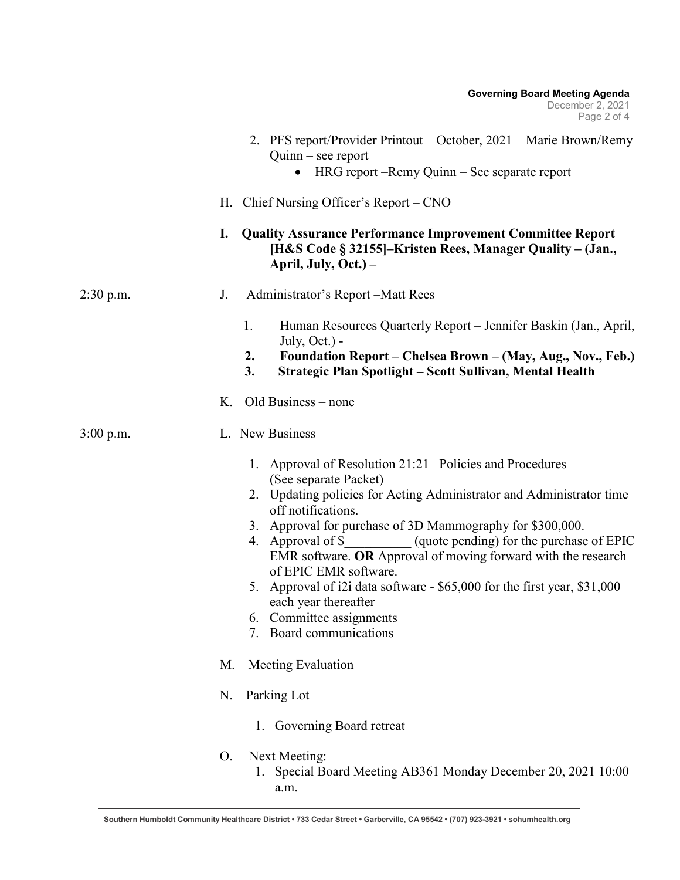|             | <b>Governing Board Meeting Agenda</b><br>December 2, 2021<br>Page 2 of 4                                                                                                                                                                                                                                                                                                                                                                                                                                                                                                    |
|-------------|-----------------------------------------------------------------------------------------------------------------------------------------------------------------------------------------------------------------------------------------------------------------------------------------------------------------------------------------------------------------------------------------------------------------------------------------------------------------------------------------------------------------------------------------------------------------------------|
|             | 2. PFS report/Provider Printout – October, 2021 – Marie Brown/Remy<br>$Quinn - see report$<br>HRG report –Remy Quinn – See separate report                                                                                                                                                                                                                                                                                                                                                                                                                                  |
|             | H. Chief Nursing Officer's Report – CNO                                                                                                                                                                                                                                                                                                                                                                                                                                                                                                                                     |
|             | I.<br><b>Quality Assurance Performance Improvement Committee Report</b><br>[H&S Code § 32155]–Kristen Rees, Manager Quality – (Jan.,<br>April, July, Oct.) –                                                                                                                                                                                                                                                                                                                                                                                                                |
| $2:30$ p.m. | Administrator's Report – Matt Rees<br>J.                                                                                                                                                                                                                                                                                                                                                                                                                                                                                                                                    |
|             | Human Resources Quarterly Report – Jennifer Baskin (Jan., April,<br>1.<br>July, Oct.) -<br>Foundation Report – Chelsea Brown – (May, Aug., Nov., Feb.)<br>2.<br>3.<br>Strategic Plan Spotlight - Scott Sullivan, Mental Health                                                                                                                                                                                                                                                                                                                                              |
|             | Old Business – none<br>Κ.                                                                                                                                                                                                                                                                                                                                                                                                                                                                                                                                                   |
| $3:00$ p.m. | L. New Business                                                                                                                                                                                                                                                                                                                                                                                                                                                                                                                                                             |
|             | 1. Approval of Resolution 21:21–Policies and Procedures<br>(See separate Packet)<br>2. Updating policies for Acting Administrator and Administrator time<br>off notifications.<br>3. Approval for purchase of 3D Mammography for \$300,000.<br>Approval of \$___________(quote pending) for the purchase of EPIC<br>4.<br>EMR software. OR Approval of moving forward with the research<br>of EPIC EMR software.<br>5. Approval of i2i data software - \$65,000 for the first year, \$31,000<br>each year thereafter<br>6. Committee assignments<br>7. Board communications |
|             | M.<br>Meeting Evaluation                                                                                                                                                                                                                                                                                                                                                                                                                                                                                                                                                    |
|             | N.<br>Parking Lot                                                                                                                                                                                                                                                                                                                                                                                                                                                                                                                                                           |
|             | Governing Board retreat<br>1.                                                                                                                                                                                                                                                                                                                                                                                                                                                                                                                                               |
|             | Next Meeting:<br>O.<br>1. Special Board Meeting AB361 Monday December 20, 2021 10:00<br>a.m.                                                                                                                                                                                                                                                                                                                                                                                                                                                                                |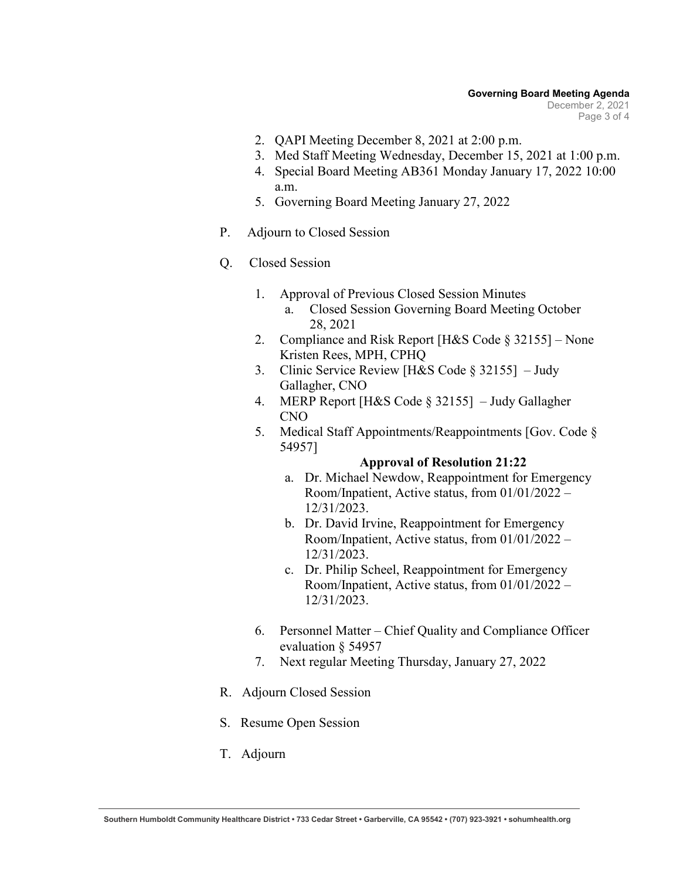- 2. QAPI Meeting December 8, 2021 at 2:00 p.m.
- 3. Med Staff Meeting Wednesday, December 15, 2021 at 1:00 p.m.
- 4. Special Board Meeting AB361 Monday January 17, 2022 10:00 a.m.
- 5. Governing Board Meeting January 27, 2022
- P. Adjourn to Closed Session

### Q. Closed Session

- 1. Approval of Previous Closed Session Minutes a. Closed Session Governing Board Meeting October 28, 2021
- 2. Compliance and Risk Report [H&S Code § 32155] None Kristen Rees, MPH, CPHQ
- 3. Clinic Service Review [H&S Code § 32155] Judy Gallagher, CNO
- 4. MERP Report [H&S Code § 32155] Judy Gallagher CNO
- 5. Medical Staff Appointments/Reappointments [Gov. Code § 54957]

### **Approval of Resolution 21:22**

- a. Dr. Michael Newdow, Reappointment for Emergency Room/Inpatient, Active status, from 01/01/2022 – 12/31/2023.
- b. Dr. David Irvine, Reappointment for Emergency Room/Inpatient, Active status, from 01/01/2022 – 12/31/2023.
- c. Dr. Philip Scheel, Reappointment for Emergency Room/Inpatient, Active status, from 01/01/2022 – 12/31/2023.
- 6. Personnel Matter Chief Quality and Compliance Officer evaluation § 54957
- 7. Next regular Meeting Thursday, January 27, 2022
- R. Adjourn Closed Session
- S. Resume Open Session
- T. Adjourn